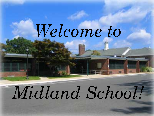## Welcome to

# *Midland School!*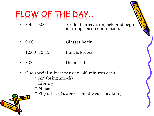### FLOW OF THE DAY…

- 8:45 9:00 Students arrive, unpack, and begin morning classroom routine.
- 9:00 Classes begin
- 12:00 -12:45 Lunch/Recess
- 3:00 Dismissal
- One special subject per day 40 minutes each \* Art (bring smock)
	- \* Library
	- \* Music
	- \* Phys. Ed. (2x/week must wear sneakers)

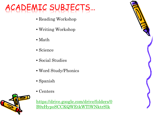### ACADEMIC SUBJECTS…

- Reading Workshop
- Writing Workshop
- Math
- Science
- Social Studies
- Word Study/Phonics
- Spanish
- Centers



[https://drive.google.com/drive/folders/0](https://drive.google.com/drive/folders/0B9zHypoSCCKQWEtkWTlWNktrSlk) [B9zHypoSCCKQWEtkWTlWNktrSlk](https://drive.google.com/drive/folders/0B9zHypoSCCKQWEtkWTlWNktrSlk)

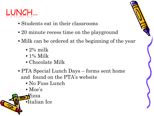

- Students eat in their classrooms
- 20 minute recess time on the playground
- Milk can be ordered at the beginning of the year
	- $\bullet$  2% milk
	- $\bullet$  1% Milk
	- Chocolate Milk
- PTA Special Lunch Days forms sent home and found on the PTA's website
	- No Fuss Lunch
	- Moe's

**P**izza

•Italian Ice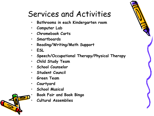#### Services and Activities

- **Bathrooms in each Kindergarten room**
- **Computer Lab**
- **Chromebook Carts**
- **Smartboards**
- **Reading/Writing/Math Support**
- **ESL**
- **Speech/Occupational Therapy/Physical Therapy**
- **Child Study Team**
- **School Counselor**
- **Student Council**
- **Green Team**
- **Courtyard**
- **School Musical** 
	- **Book Fair and Book Bingo**
	- **Cultural Assemblies**

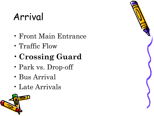#### Arrival

- Front Main Entrance
- Traffic Flow
- •**Crossing Guard**
- Park vs. Drop-off
- Bus Arrival
- Late Arrivals

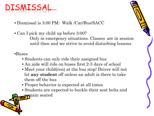#### MISSA

- Dismissal is 3:00 PM: Walk /Car/Bus/SACC
- Can I pick my child up before 3:00?

Only in emergency situations. Classes are in session until then and we strive to avoid disturbing lessons

#### •Buses

- Students can only ride their assigned bus
- An aide will ride on buses first 2-3 days of school
- Meet your child(ren) at the bus stop! Driver will not let **any student** off unless an adult is there to take them off the bus
- Proper behavior is expected at all times
- Students are expected to buckle their seat belts and
- remain seated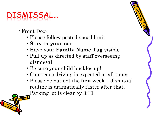#### DISMISSAL…

- •Front Door
	- •Please follow posted speed limit
	- •**Stay in your car**
	- Have your **Family Name Tag** visible
	- Pull up as directed by staff overseeing dismissal
	- •Be sure your child buckles up!
	- •Courteous driving is expected at all times
	- Please be patient the first week dismissal routine is dramatically faster after that. Parking lot is clear by 3:10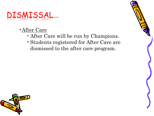#### DISMISSAL…

- •After Care
	- •After Care will be run by Champions.
	- •Students registered for After Care are dismissed to the after care program.

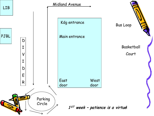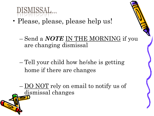

- Please, please, please help us!
	- Send a *NOTE* IN THE MORNING if you are changing dismissal
	- Tell your child how he/she is getting home if there are changes
	- DO NOT rely on email to notify us of dismissal changes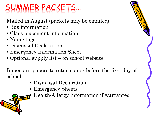### UMMER PACKETS...

#### Mailed in August (packets may be emailed)

- Bus information
- Class placement information
- Name tags
- Dismissal Declaration
- Emergency Information Sheet
- Optional supply list on school website

Important papers to return on or before the first day of school:

- Dismissal Declaration
- Emergency Sheets
	- Health/Allergy Information if warranted

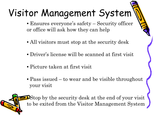### Visitor Management System

- Ensures everyone's safety Security officer or office will ask how they can help
- All visitors must stop at the security desk
- Driver's license will be scanned at first visit
- Picture taken at first visit
- Pass issued to wear and be visible throughout your visit

**• Stop by the security desk at the end of your visit** to be exited from the Visitor Management System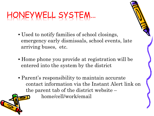#### HONEYWELL SYSTEM…

- Used to notify families of school closings, emergency early dismissals, school events, late arriving buses, etc.
- Home phone you provide at registration will be entered into the system by the district
- Parent's responsibility to maintain accurate contact information via the Instant Alert link on the parent tab of the district website – home/cell/work/email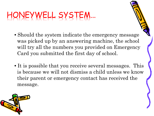#### HONEYWELL SYSTEM…

- Should the system indicate the emergency message was picked up by an answering machine, the school will try all the numbers you provided on Emergency Card you submitted the first day of school.
- It is possible that you receive several messages. This is because we will not dismiss a child unless we know their parent or emergency contact has received the message.

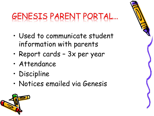### GENESIS PARENT PORTAL…

- Used to communicate student information with parents
- Report cards 3x per year
- Attendance
- Discipline
- Notices emailed via Genesis

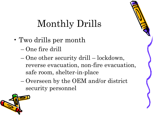#### Monthly Drills

- Two drills per month
	- One fire drill
	- One other security drill lockdown, reverse evacuation, non-fire evacuation, safe room, shelter-in-place
	- Overseen by the OEM and/or district security personnel

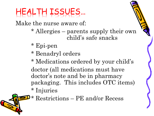#### HEALTH ISSUES…

Make the nurse aware of:

- \* Allergies parents supply their own child's safe snacks
- \* Epi-pen
- \* Benadryl orders
- \* Medications ordered by your child's doctor (all medications must have doctor's note and be in pharmacy packaging. This includes OTC items) \* Injuries

\* Restrictions – PE and/or Recess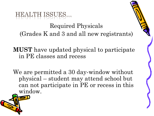

#### Required Physicals (Grades K and 3 and all new registrants)

**MUST** have updated physical to participate in PE classes and recess

We are permitted a 30 day-window without physical – student may attend school but can not participate in PE or recess in this window.

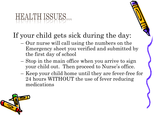### HEALTH ISSUES...

#### If your child gets sick during the day:

- Our nurse will call using the numbers on the Emergency sheet you verified and submitted by the first day of school
- Stop in the main office when you arrive to sign your child out. Then proceed to Nurse's office.
- Keep your child home until they are fever-free for 24 hours WITHOUT the use of fever reducing medications

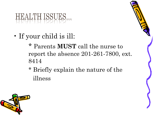### HEALTH ISSUES...

• If your child is ill:

\* Parents **MUST** call the nurse to report the absence 201-261-7800, ext. 8414

\* Briefly explain the nature of the illness

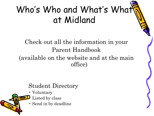#### Who's Who and What's What at Midland

#### Check out all the information in your Parent Handbook (available on the website and at the main office)

#### Student Directory

- Voluntary
- Listed by class
- Send in by deadline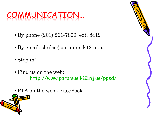#### COMMUNICATION…

- By phone (201) 261-7800, ext. 8412
- By email: chulse@paramus.k12.nj.us
- Stop in!
- Find us on the web: <http://www.paramus.k12.nj.us/ppsd/>
- PTA on the web FaceBook

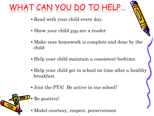### WHAT CAN YOU DO TO HELP…

- Read with your child every day.
- Show your child you are a reader
- Make sure homework is complete and done by the child
- Help your child maintain a consistent bedtime.
- Help your child get to school on time after a healthy breakfast.
- Join the PTA! Be active in our school!
- Be positive!
	- Model courtesy, respect, perseverance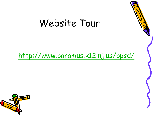#### Website Tour

#### <http://www.paramus.k12.nj.us/ppsd/>